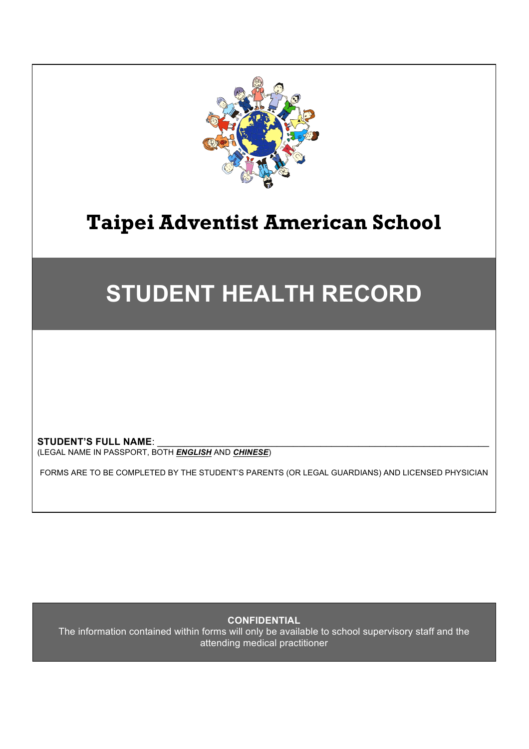

# **STUDENT HEALTH RECORD**

STUDENT'S FULL NAME: (LEGAL NAME IN PASSPORT, BOTH *ENGLISH* AND *CHINESE*)

FORMS ARE TO BE COMPLETED BY THE STUDENT'S PARENTS (OR LEGAL GUARDIANS) AND LICENSED PHYSICIAN

**CONFIDENTIAL**

The information contained within forms will only be available to school supervisory staff and the attending medical practitioner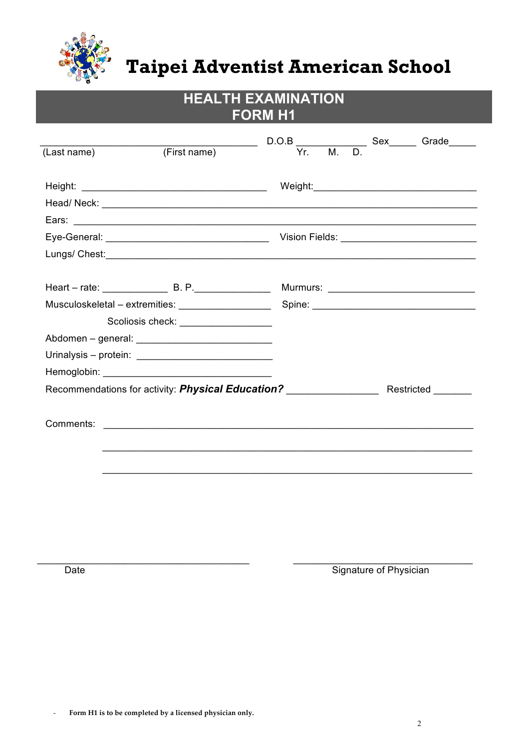

# HEALTH EXAMINATION<br>FORM H1

|             |                                    |  | $D.O.B$ $\overline{Yr. M. D.}$ Sex Grade |  |
|-------------|------------------------------------|--|------------------------------------------|--|
| (Last name) | (First name)                       |  |                                          |  |
|             |                                    |  |                                          |  |
|             |                                    |  |                                          |  |
|             |                                    |  |                                          |  |
|             |                                    |  |                                          |  |
|             |                                    |  |                                          |  |
|             |                                    |  |                                          |  |
|             |                                    |  |                                          |  |
|             |                                    |  |                                          |  |
|             |                                    |  |                                          |  |
|             | Scoliosis check: _________________ |  |                                          |  |
|             |                                    |  |                                          |  |
|             |                                    |  |                                          |  |
|             |                                    |  |                                          |  |
|             |                                    |  |                                          |  |
|             |                                    |  |                                          |  |
|             |                                    |  |                                          |  |
|             |                                    |  |                                          |  |
|             |                                    |  |                                          |  |
|             |                                    |  |                                          |  |

Date

Signature of Physician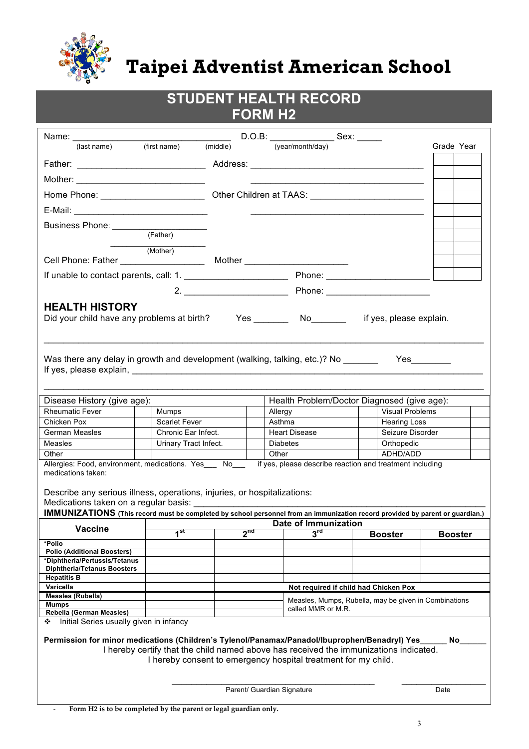

| <b>STUDENT HEALTH RECORD</b><br><b>FORM H2</b>                                                                                                                                                                                                                                                                                                                                         |                       |                                                                                                                                                                                                                                                                                                                                                                                                                                            |                                                                                                                                                                                                                                                                                                                                                                                                                                                                            |                 |                                             |                |  |  |  |  |  |  |
|----------------------------------------------------------------------------------------------------------------------------------------------------------------------------------------------------------------------------------------------------------------------------------------------------------------------------------------------------------------------------------------|-----------------------|--------------------------------------------------------------------------------------------------------------------------------------------------------------------------------------------------------------------------------------------------------------------------------------------------------------------------------------------------------------------------------------------------------------------------------------------|----------------------------------------------------------------------------------------------------------------------------------------------------------------------------------------------------------------------------------------------------------------------------------------------------------------------------------------------------------------------------------------------------------------------------------------------------------------------------|-----------------|---------------------------------------------|----------------|--|--|--|--|--|--|
|                                                                                                                                                                                                                                                                                                                                                                                        |                       |                                                                                                                                                                                                                                                                                                                                                                                                                                            |                                                                                                                                                                                                                                                                                                                                                                                                                                                                            |                 |                                             |                |  |  |  |  |  |  |
|                                                                                                                                                                                                                                                                                                                                                                                        |                       | Name: $\frac{1}{\frac{1}{\frac{1}{\frac{1}{\sqrt{1-\frac{1}{\sqrt{1-\frac{1}{\sqrt{1-\frac{1}{\sqrt{1-\frac{1}{\sqrt{1-\frac{1}{\sqrt{1-\frac{1}{\sqrt{1-\frac{1}{\sqrt{1-\frac{1}{\sqrt{1-\frac{1}{\sqrt{1-\frac{1}{\sqrt{1-\frac{1}{\sqrt{1-\frac{1}{\sqrt{1-\frac{1}{\sqrt{1-\frac{1}{\sqrt{1-\frac{1}{\sqrt{1-\frac{1}{\sqrt{1-\frac{1}{\sqrt{1-\frac{1}{\sqrt{1-\frac{1}{\sqrt{1-\frac{1}{\sqrt{1-\frac{1}{\sqrt{1-\frac$<br>(middle) |                                                                                                                                                                                                                                                                                                                                                                                                                                                                            |                 |                                             |                |  |  |  |  |  |  |
|                                                                                                                                                                                                                                                                                                                                                                                        |                       |                                                                                                                                                                                                                                                                                                                                                                                                                                            |                                                                                                                                                                                                                                                                                                                                                                                                                                                                            |                 |                                             | Grade Year     |  |  |  |  |  |  |
|                                                                                                                                                                                                                                                                                                                                                                                        |                       |                                                                                                                                                                                                                                                                                                                                                                                                                                            |                                                                                                                                                                                                                                                                                                                                                                                                                                                                            |                 |                                             |                |  |  |  |  |  |  |
|                                                                                                                                                                                                                                                                                                                                                                                        |                       |                                                                                                                                                                                                                                                                                                                                                                                                                                            |                                                                                                                                                                                                                                                                                                                                                                                                                                                                            |                 |                                             |                |  |  |  |  |  |  |
| Home Phone: ________________________________Other Children at TAAS: ________________________________                                                                                                                                                                                                                                                                                   |                       |                                                                                                                                                                                                                                                                                                                                                                                                                                            |                                                                                                                                                                                                                                                                                                                                                                                                                                                                            |                 |                                             |                |  |  |  |  |  |  |
|                                                                                                                                                                                                                                                                                                                                                                                        |                       |                                                                                                                                                                                                                                                                                                                                                                                                                                            | $\frac{1}{2} \left( \frac{1}{2} \right) \left( \frac{1}{2} \right) \left( \frac{1}{2} \right) \left( \frac{1}{2} \right) \left( \frac{1}{2} \right) \left( \frac{1}{2} \right) \left( \frac{1}{2} \right) \left( \frac{1}{2} \right) \left( \frac{1}{2} \right) \left( \frac{1}{2} \right) \left( \frac{1}{2} \right) \left( \frac{1}{2} \right) \left( \frac{1}{2} \right) \left( \frac{1}{2} \right) \left( \frac{1}{2} \right) \left( \frac{1}{2} \right) \left( \frac$ |                 |                                             |                |  |  |  |  |  |  |
| Business Phone: (Father)                                                                                                                                                                                                                                                                                                                                                               |                       |                                                                                                                                                                                                                                                                                                                                                                                                                                            |                                                                                                                                                                                                                                                                                                                                                                                                                                                                            |                 |                                             |                |  |  |  |  |  |  |
|                                                                                                                                                                                                                                                                                                                                                                                        |                       |                                                                                                                                                                                                                                                                                                                                                                                                                                            |                                                                                                                                                                                                                                                                                                                                                                                                                                                                            |                 |                                             |                |  |  |  |  |  |  |
|                                                                                                                                                                                                                                                                                                                                                                                        | (Mother)              |                                                                                                                                                                                                                                                                                                                                                                                                                                            |                                                                                                                                                                                                                                                                                                                                                                                                                                                                            |                 |                                             |                |  |  |  |  |  |  |
|                                                                                                                                                                                                                                                                                                                                                                                        |                       |                                                                                                                                                                                                                                                                                                                                                                                                                                            |                                                                                                                                                                                                                                                                                                                                                                                                                                                                            |                 |                                             |                |  |  |  |  |  |  |
|                                                                                                                                                                                                                                                                                                                                                                                        |                       |                                                                                                                                                                                                                                                                                                                                                                                                                                            |                                                                                                                                                                                                                                                                                                                                                                                                                                                                            |                 |                                             |                |  |  |  |  |  |  |
|                                                                                                                                                                                                                                                                                                                                                                                        |                       |                                                                                                                                                                                                                                                                                                                                                                                                                                            |                                                                                                                                                                                                                                                                                                                                                                                                                                                                            |                 |                                             |                |  |  |  |  |  |  |
| <b>HEALTH HISTORY</b>                                                                                                                                                                                                                                                                                                                                                                  |                       |                                                                                                                                                                                                                                                                                                                                                                                                                                            |                                                                                                                                                                                                                                                                                                                                                                                                                                                                            |                 |                                             |                |  |  |  |  |  |  |
| Was there any delay in growth and development (walking, talking, etc.)? No ______                                                                                                                                                                                                                                                                                                      |                       |                                                                                                                                                                                                                                                                                                                                                                                                                                            |                                                                                                                                                                                                                                                                                                                                                                                                                                                                            |                 |                                             |                |  |  |  |  |  |  |
| Disease History (give age):                                                                                                                                                                                                                                                                                                                                                            |                       |                                                                                                                                                                                                                                                                                                                                                                                                                                            |                                                                                                                                                                                                                                                                                                                                                                                                                                                                            |                 | Health Problem/Doctor Diagnosed (give age): |                |  |  |  |  |  |  |
| <b>Rheumatic Fever</b>                                                                                                                                                                                                                                                                                                                                                                 | Mumps                 |                                                                                                                                                                                                                                                                                                                                                                                                                                            | Allergy                                                                                                                                                                                                                                                                                                                                                                                                                                                                    |                 | <b>Visual Problems</b>                      |                |  |  |  |  |  |  |
| Chicken Pox                                                                                                                                                                                                                                                                                                                                                                            | Scarlet Fever         |                                                                                                                                                                                                                                                                                                                                                                                                                                            | Asthma                                                                                                                                                                                                                                                                                                                                                                                                                                                                     |                 | <b>Hearing Loss</b>                         |                |  |  |  |  |  |  |
| German Measles                                                                                                                                                                                                                                                                                                                                                                         | Chronic Ear Infect.   |                                                                                                                                                                                                                                                                                                                                                                                                                                            |                                                                                                                                                                                                                                                                                                                                                                                                                                                                            | Heart Disease   | Seizure Disorder                            |                |  |  |  |  |  |  |
| Measles                                                                                                                                                                                                                                                                                                                                                                                | Urinary Tract Infect. |                                                                                                                                                                                                                                                                                                                                                                                                                                            | Other                                                                                                                                                                                                                                                                                                                                                                                                                                                                      | <b>Diabetes</b> | Orthopedic                                  |                |  |  |  |  |  |  |
| Other                                                                                                                                                                                                                                                                                                                                                                                  |                       |                                                                                                                                                                                                                                                                                                                                                                                                                                            | ADHD/ADD                                                                                                                                                                                                                                                                                                                                                                                                                                                                   |                 |                                             |                |  |  |  |  |  |  |
| Allergies: Food, environment, medications. Yes No if yes, please describe reaction and treatment including<br>medications taken:<br>Describe any serious illness, operations, injuries, or hospitalizations:<br>Medications taken on a regular basis:<br>IMMUNIZATIONS (This record must be completed by school personnel from an immunization record provided by parent or guardian.) |                       |                                                                                                                                                                                                                                                                                                                                                                                                                                            |                                                                                                                                                                                                                                                                                                                                                                                                                                                                            |                 |                                             |                |  |  |  |  |  |  |
| <b>Vaccine</b>                                                                                                                                                                                                                                                                                                                                                                         |                       | <b>Date of Immunization</b><br>2 <sup>nd</sup>                                                                                                                                                                                                                                                                                                                                                                                             |                                                                                                                                                                                                                                                                                                                                                                                                                                                                            |                 |                                             |                |  |  |  |  |  |  |
|                                                                                                                                                                                                                                                                                                                                                                                        | 1 <sup>st</sup>       |                                                                                                                                                                                                                                                                                                                                                                                                                                            |                                                                                                                                                                                                                                                                                                                                                                                                                                                                            | $3^{\text{rd}}$ | <b>Booster</b>                              | <b>Booster</b> |  |  |  |  |  |  |
| *Polio<br><b>Polio (Additional Boosters)</b>                                                                                                                                                                                                                                                                                                                                           |                       |                                                                                                                                                                                                                                                                                                                                                                                                                                            |                                                                                                                                                                                                                                                                                                                                                                                                                                                                            |                 |                                             |                |  |  |  |  |  |  |
| *Diphtheria/Pertussis/Tetanus                                                                                                                                                                                                                                                                                                                                                          |                       |                                                                                                                                                                                                                                                                                                                                                                                                                                            |                                                                                                                                                                                                                                                                                                                                                                                                                                                                            |                 |                                             |                |  |  |  |  |  |  |
| <b>Diphtheria/Tetanus Boosters</b>                                                                                                                                                                                                                                                                                                                                                     |                       |                                                                                                                                                                                                                                                                                                                                                                                                                                            |                                                                                                                                                                                                                                                                                                                                                                                                                                                                            |                 |                                             |                |  |  |  |  |  |  |
| <b>Hepatitis B</b>                                                                                                                                                                                                                                                                                                                                                                     |                       |                                                                                                                                                                                                                                                                                                                                                                                                                                            |                                                                                                                                                                                                                                                                                                                                                                                                                                                                            |                 |                                             |                |  |  |  |  |  |  |
| Varicella<br>Measles (Rubella)                                                                                                                                                                                                                                                                                                                                                         |                       |                                                                                                                                                                                                                                                                                                                                                                                                                                            |                                                                                                                                                                                                                                                                                                                                                                                                                                                                            |                 | Not required if child had Chicken Pox       |                |  |  |  |  |  |  |
| Mumps                                                                                                                                                                                                                                                                                                                                                                                  |                       | Measles, Mumps, Rubella, may be given in Combinations<br>called MMR or M.R.                                                                                                                                                                                                                                                                                                                                                                |                                                                                                                                                                                                                                                                                                                                                                                                                                                                            |                 |                                             |                |  |  |  |  |  |  |
| Rebella (German Measles)<br>Initial Series usually given in infancy<br>❖                                                                                                                                                                                                                                                                                                               |                       |                                                                                                                                                                                                                                                                                                                                                                                                                                            |                                                                                                                                                                                                                                                                                                                                                                                                                                                                            |                 |                                             |                |  |  |  |  |  |  |
| Permission for minor medications (Children's Tylenol/Panamax/Panadol/Ibuprophen/Benadryl) Yes_<br>No.<br>I hereby certify that the child named above has received the immunizations indicated.<br>I hereby consent to emergency hospital treatment for my child.<br>Parent/ Guardian Signature<br>Date                                                                                 |                       |                                                                                                                                                                                                                                                                                                                                                                                                                                            |                                                                                                                                                                                                                                                                                                                                                                                                                                                                            |                 |                                             |                |  |  |  |  |  |  |
|                                                                                                                                                                                                                                                                                                                                                                                        |                       |                                                                                                                                                                                                                                                                                                                                                                                                                                            |                                                                                                                                                                                                                                                                                                                                                                                                                                                                            |                 |                                             |                |  |  |  |  |  |  |